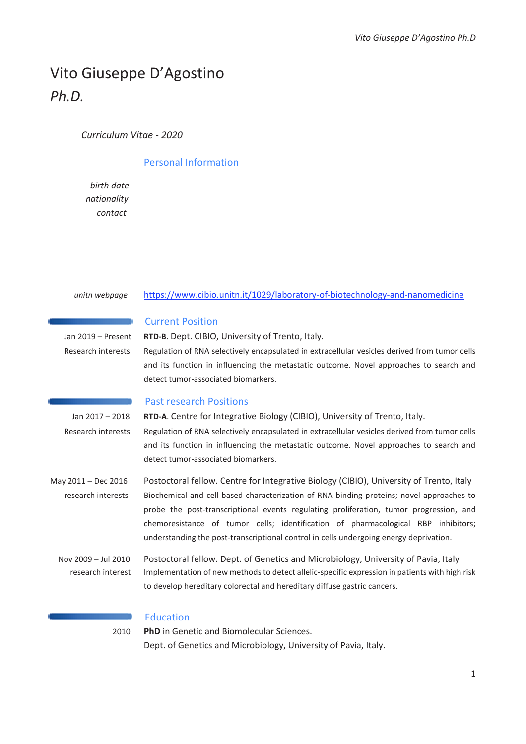# Vito Giuseppe D'Agostino *Ph.D.*

*Curriculum Vitae - 2020* 

## Personal Information

 $birth$  date *nationalitv contact* Laboratory of Biotechnology and Nanomedicine Biotechnology and Nanomedicine Biotechnology and Nanomedicine Biotechnology and Nanomedicine Biotechnology and Nanomedicine Biotechnology and Nanomedicine Biotechnol

#### *unitn webpage* https://www.cibio.unitn.it/1029/laboratory-of-biotechnology-and-nanomedicine

| <b>Current Position</b> |  |  |
|-------------------------|--|--|
|                         |  |  |

Jan 2019 – Present **RTD-B**. Dept. CIBIO, University of Trento, Italy.

 Research interests Regulation of RNA selectively encapsulated in extracellular vesicles derived from tumor cells and its function in influencing the metastatic outcome. Novel approaches to search and detect tumor-associated biomarkers.

#### Past research Positions

 Jan 2017 – 2018 **RTD-A**. Centre for Integrative Biology (CIBIO), University of Trento, Italy. Research interests Regulation of RNA selectively encapsulated in extracellular vesicles derived from tumor cells and its function in influencing the metastatic outcome. Novel approaches to search and detect tumor-associated biomarkers.

May 2011 – Dec 2016 Postoctoral fellow. Centre for Integrative Biology (CIBIO), University of Trento, Italy research interests Biochemical and cell-based characterization of RNA-binding proteins; novel approaches to probe the post-transcriptional events regulating proliferation, tumor progression, and chemoresistance of tumor cells; identification of pharmacological RBP inhibitors; understanding the post-transcriptional control in cells undergoing energy deprivation.

 Nov 2009 – Jul 2010 Postoctoral fellow. Dept. of Genetics and Microbiology, University of Pavia, Italy research interest Implementation of new methods to detect allelic-specific expression in patients with high risk to develop hereditary colorectal and hereditary diffuse gastric cancers.

## Education

2010 **PhD** in Genetic and Biomolecular Sciences. Dept. of Genetics and Microbiology, University of Pavia, Italy.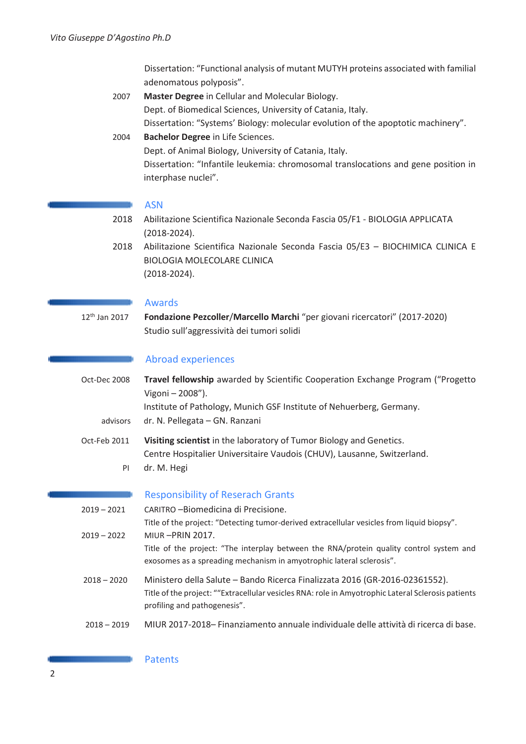Dissertation: "Functional analysis of mutant MUTYH proteins associated with familial adenomatous polyposis".

- 2007 **Master Degree** in Cellular and Molecular Biology. Dept. of Biomedical Sciences, University of Catania, Italy. Dissertation: "Systems' Biology: molecular evolution of the apoptotic machinery".
- 2004 **Bachelor Degree** in Life Sciences. Dept. of Animal Biology, University of Catania, Italy. Dissertation: "Infantile leukemia: chromosomal translocations and gene position in interphase nuclei".

#### ASN

- 2018 Abilitazione Scientifica Nazionale Seconda Fascia 05/F1 BIOLOGIA APPLICATA (2018-2024).
- 2018 Abilitazione Scientifica Nazionale Seconda Fascia 05/E3 BIOCHIMICA CLINICA E BIOLOGIA MOLECOLARE CLINICA (2018-2024).

### Awards

12th Jan 2017 **Fondazione Pezcoller**/**Marcello Marchi** "per giovani ricercatori" (2017-2020) Studio sull'aggressività dei tumori solidi

### Abroad experiences

- Oct-Dec 2008 **Travel fellowship** awarded by Scientific Cooperation Exchange Program ("Progetto Vigoni – 2008"). Institute of Pathology, Munich GSF Institute of Nehuerberg, Germany. advisors dr. N. Pellegata – GN. Ranzani Oct-Feb 2011 **Visiting scientist** in the laboratory of Tumor Biology and Genetics. Centre Hospitalier Universitaire Vaudois (CHUV), Lausanne, Switzerland.
	- PI dr. M. Hegi

Responsibility of Reserach Grants

| $2019 - 2021$ | CARITRO - Biomedicina di Precisione.                                                                                                                                                                              |
|---------------|-------------------------------------------------------------------------------------------------------------------------------------------------------------------------------------------------------------------|
|               | Title of the project: "Detecting tumor-derived extracellular vesicles from liquid biopsy".                                                                                                                        |
| $2019 - 2022$ | <b>MIUR-PRIN 2017.</b>                                                                                                                                                                                            |
|               | Title of the project: "The interplay between the RNA/protein quality control system and<br>exosomes as a spreading mechanism in amyotrophic lateral sclerosis".                                                   |
| $2018 - 2020$ | Ministero della Salute - Bando Ricerca Finalizzata 2016 (GR-2016-02361552).<br>Title of the project: ""Extracellular vesicles RNA: role in Amyotrophic Lateral Sclerosis patients<br>profiling and pathogenesis". |
| $2018 - 2019$ | MIUR 2017-2018 – Finanziamento annuale individuale delle attività di ricerca di base.                                                                                                                             |

#### Patents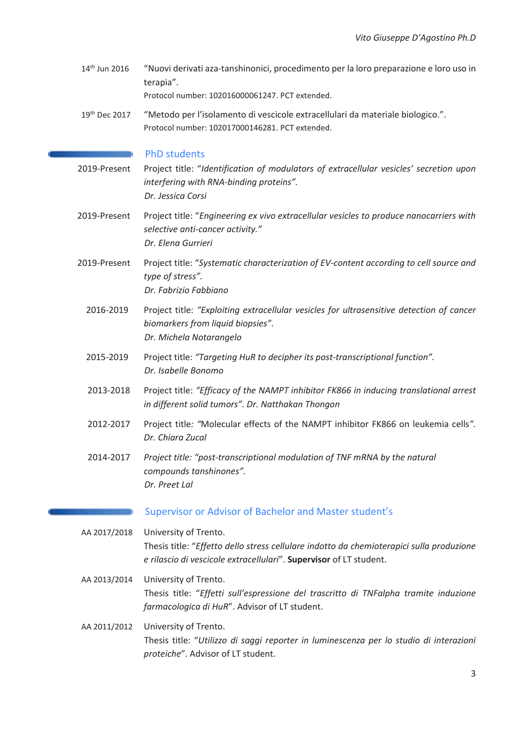14<sup>th</sup> Jun 2016 "Nuovi derivati aza-tanshinonici, procedimento per la loro preparazione e loro uso in terapia".

Protocol number: 102016000061247. PCT extended.

19th Dec 2017 "Metodo per l'isolamento di vescicole extracellulari da materiale biologico.". Protocol number: 102017000146281. PCT extended.

#### PhD students

- 2019-Present Project title: "*Identification of modulators of extracellular vesicles' secretion upon interfering with RNA-binding proteins". Dr. Jessica Corsi*
- 2019-Present Project title: "*Engineering ex vivo extracellular vesicles to produce nanocarriers with selective anti-cancer activity." Dr. Elena Gurrieri*
- 2019-Present Project title: "*Systematic characterization of EV-content according to cell source and type of stress". Dr. Fabrizio Fabbiano* 
	- 2016-2019 Project title: *"Exploiting extracellular vesicles for ultrasensitive detection of cancer biomarkers from liquid biopsies". Dr. Michela Notarangelo*
	- 2015-2019 Project title: *"Targeting HuR to decipher its post-transcriptional function". Dr. Isabelle Bonomo*
	- 2013-2018 Project title: *"Efficacy of the NAMPT inhibitor FK866 in inducing translational arrest in different solid tumors". Dr. Natthakan Thongon*
	- 2012-2017 Project title*: "*Molecular effects of the NAMPT inhibitor FK866 on leukemia cells*". Dr. Chiara Zucal*
	- 2014-2017 *Project title: "post-transcriptional modulation of TNF mRNA by the natural compounds tanshinones". Dr. Preet Lal*

#### Supervisor or Advisor of Bachelor and Master student's

- AA 2017/2018 University of Trento. Thesis title: "*Effetto dello stress cellulare indotto da chemioterapici sulla produzione e rilascio di vescicole extracellulari*". **Supervisor** of LT student.
- AA 2013/2014 University of Trento. Thesis title: "*Effetti sull'espressione del trascritto di TNFalpha tramite induzione farmacologica di HuR*". Advisor of LT student.
- AA 2011/2012 University of Trento. Thesis title: "*Utilizzo di saggi reporter in luminescenza per lo studio di interazioni proteiche*". Advisor of LT student.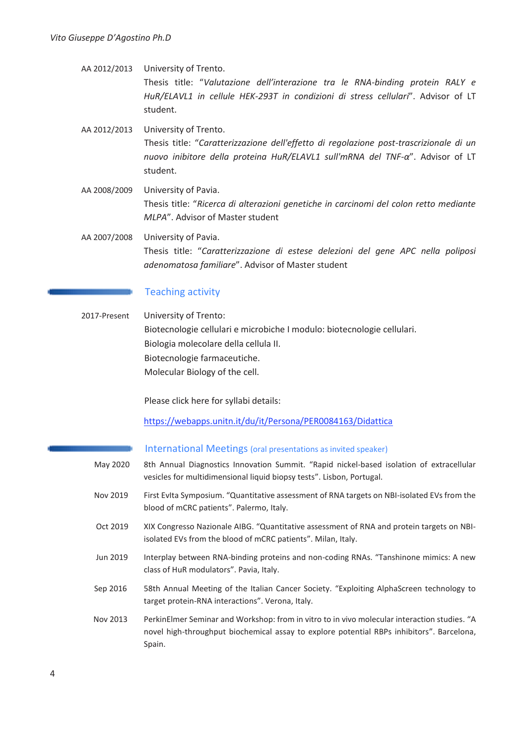- AA 2012/2013 University of Trento. Thesis title: "*Valutazione dell'interazione tra le RNA-binding protein RALY e HuR/ELAVL1 in cellule HEK-293T in condizioni di stress cellulari*". Advisor of LT student. AA 2012/2013 University of Trento. Thesis title: "*Caratterizzazione dell'effetto di regolazione post-trascrizionale di un nuovo inibitore della proteina HuR/ELAVL1 sull'mRNA del TNF-α*". Advisor of LT student.
- AA 2008/2009 University of Pavia. Thesis title: "*Ricerca di alterazioni genetiche in carcinomi del colon retto mediante MLPA*". Advisor of Master student
- AA 2007/2008 University of Pavia. Thesis title: "*Caratterizzazione di estese delezioni del gene APC nella poliposi adenomatosa familiare*". Advisor of Master student

## Teaching activity

2017-Present University of Trento: Biotecnologie cellulari e microbiche I modulo: biotecnologie cellulari. Biologia molecolare della cellula II. Biotecnologie farmaceutiche. Molecular Biology of the cell.

Please click here for syllabi details:

https://webapps.unitn.it/du/it/Persona/PER0084163/Didattica

#### International Meetings (oral presentations as invited speaker)

- May 2020 8th Annual Diagnostics Innovation Summit. "Rapid nickel-based isolation of extracellular vesicles for multidimensional liquid biopsy tests". Lisbon, Portugal.
- Nov 2019 First EvIta Symposium. "Quantitative assessment of RNA targets on NBI-isolated EVs from the blood of mCRC patients". Palermo, Italy.
- Oct 2019 XIX Congresso Nazionale AIBG. "Quantitative assessment of RNA and protein targets on NBIisolated EVs from the blood of mCRC patients". Milan, Italy.
- Jun 2019 Interplay between RNA-binding proteins and non-coding RNAs. "Tanshinone mimics: A new class of HuR modulators". Pavia, Italy.
- Sep 2016 58th Annual Meeting of the Italian Cancer Society. "Exploiting AlphaScreen technology to target protein-RNA interactions". Verona, Italy.
- Nov 2013 PerkinElmer Seminar and Workshop: from in vitro to in vivo molecular interaction studies. "A novel high-throughput biochemical assay to explore potential RBPs inhibitors". Barcelona, Spain.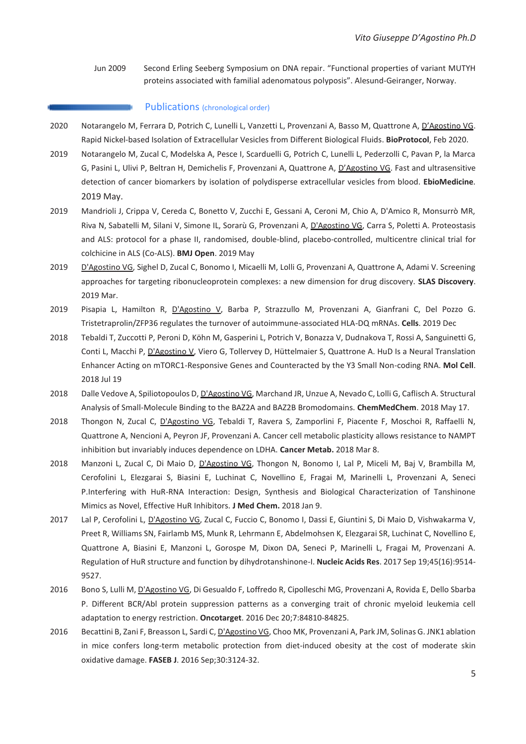Jun 2009 Second Erling Seeberg Symposium on DNA repair. "Functional properties of variant MUTYH proteins associated with familial adenomatous polyposis". Alesund-Geiranger, Norway.

#### Publications (chronological order)

- 2020 Notarangelo M, Ferrara D, Potrich C, Lunelli L, Vanzetti L, Provenzani A, Basso M, Quattrone A, D'Agostino VG. Rapid Nickel-based Isolation of Extracellular Vesicles from Different Biological Fluids. **BioProtocol**, Feb 2020.
- 2019 Notarangelo M, Zucal C, Modelska A, Pesce I, Scarduelli G, Potrich C, Lunelli L, Pederzolli C, Pavan P, la Marca G, Pasini L, Ulivi P, Beltran H, Demichelis F, Provenzani A, Quattrone A, D'Agostino VG. Fast and ultrasensitive detection of cancer biomarkers by isolation of polydisperse extracellular vesicles from blood. **EbioMedicine***.*  2019 May.
- 2019 Mandrioli J, Crippa V, Cereda C, Bonetto V, Zucchi E, Gessani A, Ceroni M, Chio A, D'Amico R, Monsurrò MR, Riva N, Sabatelli M, Silani V, Simone IL, Sorarù G, Provenzani A, D'Agostino VG, Carra S, Poletti A. Proteostasis and ALS: protocol for a phase II, randomised, double-blind, placebo-controlled, multicentre clinical trial for colchicine in ALS (Co-ALS). **BMJ Open**. 2019 May
- 2019 D'Agostino VG, Sighel D, Zucal C, Bonomo I, Micaelli M, Lolli G, Provenzani A, Quattrone A, Adami V. Screening approaches for targeting ribonucleoprotein complexes: a new dimension for drug discovery. **SLAS Discovery**. 2019 Mar.
- 2019 Pisapia L, Hamilton R, D'Agostino V, Barba P, Strazzullo M, Provenzani A, Gianfrani C, Del Pozzo G. Tristetraprolin/ZFP36 regulates the turnover of autoimmune-associated HLA-DQ mRNAs. **Cells**. 2019 Dec
- 2018 Tebaldi T, Zuccotti P, Peroni D, Köhn M, Gasperini L, Potrich V, Bonazza V, Dudnakova T, Rossi A, Sanguinetti G, Conti L, Macchi P, D'Agostino V, Viero G, Tollervey D, Hüttelmaier S, Quattrone A. HuD Is a Neural Translation Enhancer Acting on mTORC1-Responsive Genes and Counteracted by the Y3 Small Non-coding RNA. **Mol Cell**. 2018 Jul 19
- 2018 Dalle Vedove A, Spiliotopoulos D, D'Agostino VG, Marchand JR, Unzue A, Nevado C, Lolli G, Caflisch A. Structural Analysis of Small-Molecule Binding to the BAZ2A and BAZ2B Bromodomains. **ChemMedChem**. 2018 May 17.
- 2018 Thongon N, Zucal C, D'Agostino VG, Tebaldi T, Ravera S, Zamporlini F, Piacente F, Moschoi R, Raffaelli N, Quattrone A, Nencioni A, Peyron JF, Provenzani A. Cancer cell metabolic plasticity allows resistance to NAMPT inhibition but invariably induces dependence on LDHA. **Cancer Metab.** 2018 Mar 8.
- 2018 Manzoni L, Zucal C, Di Maio D, D'Agostino VG, Thongon N, Bonomo I, Lal P, Miceli M, Baj V, Brambilla M, Cerofolini L, Elezgarai S, Biasini E, Luchinat C, Novellino E, Fragai M, Marinelli L, Provenzani A, Seneci P.Interfering with HuR-RNA Interaction: Design, Synthesis and Biological Characterization of Tanshinone Mimics as Novel, Effective HuR Inhibitors. **J Med Chem.** 2018 Jan 9.
- 2017 Lal P, Cerofolini L, D'Agostino VG, Zucal C, Fuccio C, Bonomo I, Dassi E, Giuntini S, Di Maio D, Vishwakarma V, Preet R, Williams SN, Fairlamb MS, Munk R, Lehrmann E, Abdelmohsen K, Elezgarai SR, Luchinat C, Novellino E, Quattrone A, Biasini E, Manzoni L, Gorospe M, Dixon DA, Seneci P, Marinelli L, Fragai M, Provenzani A. Regulation of HuR structure and function by dihydrotanshinone-I. **Nucleic Acids Res**. 2017 Sep 19;45(16):9514- 9527.
- 2016 Bono S, Lulli M, D'Agostino VG, Di Gesualdo F, Loffredo R, Cipolleschi MG, Provenzani A, Rovida E, Dello Sbarba P. Different BCR/Abl protein suppression patterns as a converging trait of chronic myeloid leukemia cell adaptation to energy restriction. **Oncotarget**. 2016 Dec 20;7:84810-84825.
- 2016 Becattini B, Zani F, Breasson L, Sardi C, D'Agostino VG, Choo MK, Provenzani A, Park JM, Solinas G. JNK1 ablation in mice confers long-term metabolic protection from diet-induced obesity at the cost of moderate skin oxidative damage. **FASEB J**. 2016 Sep;30:3124-32.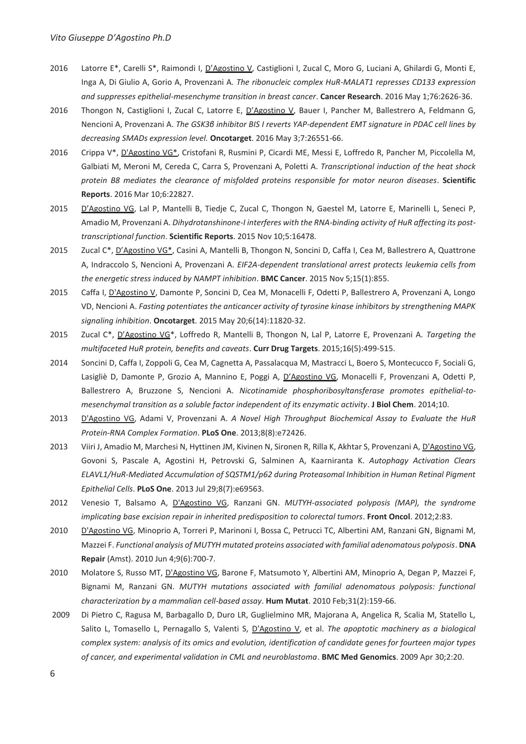- 2016 Latorre E\*, Carelli S\*, Raimondi I, D'Agostino V, Castiglioni I, Zucal C, Moro G, Luciani A, Ghilardi G, Monti E, Inga A, Di Giulio A, Gorio A, Provenzani A*. The ribonucleic complex HuR-MALAT1 represses CD133 expression and suppresses epithelial-mesenchyme transition in breast cancer*. **Cancer Research**. 2016 May 1;76:2626-36.
- 2016 Thongon N, Castiglioni I, Zucal C, Latorre E, D'Agostino V, Bauer I, Pancher M, Ballestrero A, Feldmann G, Nencioni A, Provenzani A. *The GSK3β inhibitor BIS I reverts YAP-dependent EMT signature in PDAC cell lines by decreasing SMADs expression level.* **Oncotarget**. 2016 May 3;7:26551-66.
- 2016 Crippa V\*, D'Agostino VG\*, Cristofani R, Rusmini P, Cicardi ME, Messi E, Loffredo R, Pancher M, Piccolella M, Galbiati M, Meroni M, Cereda C, Carra S, Provenzani A, Poletti A. *Transcriptional induction of the heat shock protein B8 mediates the clearance of misfolded proteins responsible for motor neuron diseases*. **Scientific Reports**. 2016 Mar 10;6:22827.
- 2015 D'Agostino VG, Lal P, Mantelli B, Tiedje C, Zucal C, Thongon N, Gaestel M, Latorre E, Marinelli L, Seneci P, Amadio M, Provenzani A. *Dihydrotanshinone-I interferes with the RNA-binding activity of HuR affecting its posttranscriptional function*. **Scientific Reports**. 2015 Nov 10;5:16478.
- 2015 Zucal C\*, D'Agostino VG\*, Casini A, Mantelli B, Thongon N, Soncini D, Caffa I, Cea M, Ballestrero A, Quattrone A, Indraccolo S, Nencioni A, Provenzani A. *EIF2A-dependent translational arrest protects leukemia cells from the energetic stress induced by NAMPT inhibition*. **BMC Cancer**. 2015 Nov 5;15(1):855.
- 2015 Caffa I, D'Agostino V, Damonte P, Soncini D, Cea M, Monacelli F, Odetti P, Ballestrero A, Provenzani A, Longo VD, Nencioni A. *Fasting potentiates the anticancer activity of tyrosine kinase inhibitors by strengthening MAPK signaling inhibition*. **Oncotarget**. 2015 May 20;6(14):11820-32.
- 2015 Zucal C\*, D'Agostino VG\*, Loffredo R, Mantelli B, Thongon N, Lal P, Latorre E, Provenzani A. *Targeting the multifaceted HuR protein, benefits and caveats*. **Curr Drug Targets**. 2015;16(5):499-515.
- 2014 Soncini D, Caffa I, Zoppoli G, Cea M, Cagnetta A, Passalacqua M, Mastracci L, Boero S, Montecucco F, Sociali G, Lasigliè D, Damonte P, Grozio A, Mannino E, Poggi A, D'Agostino VG, Monacelli F, Provenzani A, Odetti P, Ballestrero A, Bruzzone S, Nencioni A. *Nicotinamide phosphoribosyltansferase promotes epithelial-tomesenchymal transition as a soluble factor independent of its enzymatic activity*. **J Biol Chem**. 2014;10.
- 2013 D'Agostino VG, Adami V, Provenzani A. *A Novel High Throughput Biochemical Assay to Evaluate the HuR Protein-RNA Complex Formation*. **PLoS One**. 2013;8(8):e72426.
- 2013 Viiri J, Amadio M, Marchesi N, Hyttinen JM, Kivinen N, Sironen R, Rilla K, Akhtar S, Provenzani A, D'Agostino VG, Govoni S, Pascale A, Agostini H, Petrovski G, Salminen A, Kaarniranta K. *Autophagy Activation Clears ELAVL1/HuR-Mediated Accumulation of SQSTM1/p62 during Proteasomal Inhibition in Human Retinal Pigment Epithelial Cells*. **PLoS One**. 2013 Jul 29;8(7):e69563.
- 2012 Venesio T, Balsamo A, D'Agostino VG, Ranzani GN. *MUTYH-associated polyposis (MAP), the syndrome implicating base excision repair in inherited predisposition to colorectal tumors*. **Front Oncol**. 2012;2:83.
- 2010 D'Agostino VG, Minoprio A, Torreri P, Marinoni I, Bossa C, Petrucci TC, Albertini AM, Ranzani GN, Bignami M, Mazzei F. *Functional analysis of MUTYH mutated proteins associated with familial adenomatous polyposis*. **DNA Repair** (Amst). 2010 Jun 4;9(6):700-7.
- 2010 Molatore S, Russo MT, D'Agostino VG, Barone F, Matsumoto Y, Albertini AM, Minoprio A, Degan P, Mazzei F, Bignami M, Ranzani GN. *MUTYH mutations associated with familial adenomatous polyposis: functional characterization by a mammalian cell-based assay*. **Hum Mutat**. 2010 Feb;31(2):159-66.
- 2009 Di Pietro C, Ragusa M, Barbagallo D, Duro LR, Guglielmino MR, Majorana A, Angelica R, Scalia M, Statello L, Salito L, Tomasello L, Pernagallo S, Valenti S, *D'Agostino V*, et al. *The apoptotic machinery as a biological complex system: analysis of its omics and evolution, identification of candidate genes for fourteen major types of cancer, and experimental validation in CML and neuroblastoma*. **BMC Med Genomics**. 2009 Apr 30;2:20.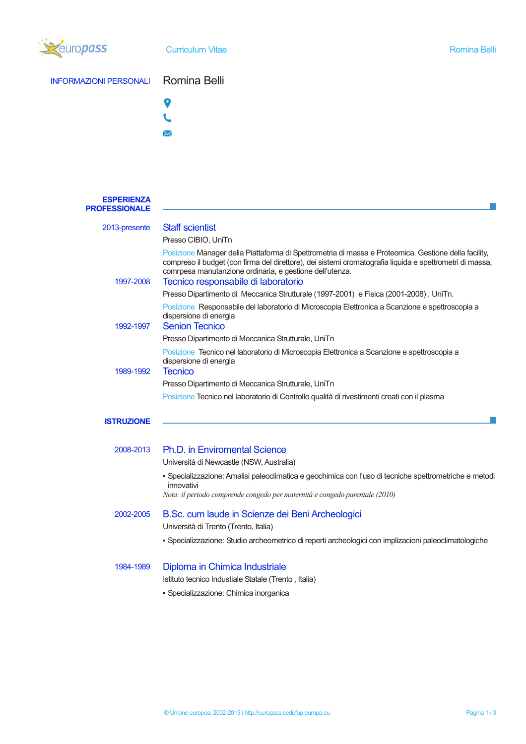

#### INFORMAZIONI PERSONALI Romina Belli



 $\searrow$ 

**ESPERIENZA PROFESSIONALE**  2013-presente Staff scientist Presso CIBIO, UniTn Posizione Manager della Piattaforma di Spettrometria di massa e Proteomica. Gestione della facility, compreso il budget (con firma del direttore), dei sistemi cromatografia liquida e spettrometri di massa, comrpesa manutanzione ordinaria, e gestione dell'utenza. 1997-2008 Tecnico responsabile di laboratorio Presso Dipartimento di Meccanica Strutturale (1997-2001) e Fisica (2001-2008) , UniTn. Posizione Responsabile del laboratorio di Microscopia Elettronica a Scanzione e spettroscopia a dispersione di energia 1992-1997 Senion Tecnico Presso Dipartimento di Meccanica Strutturale, UniTn Posizione Tecnico nel laboratorio di Microscopia Elettronica a Scanzione e spettroscopia a dispersione di energia 1989-1992 Tecnico Presso Dipartimento di Meccanica Strutturale, UniTn Posizione Tecnico nel laboratorio di Controllo qualità di rivestimenti creati con il plasma

#### **ISTRUZIONE**

## 2008-2013 Ph.D. in Enviromental Science Università di Newcastle (NSW, Australia) ▪ Specializzazione: Amalisi paleoclimatica e geochimica con l'uso di tecniche spettrometriche e metodi innovativi *Nota: il periodo comprende congedo per maternità e congedo parentale (2010)* 2002-2005 B.Sc. cum laude in Scienze dei Beni Archeologici Università di Trento (Trento, Italia)

▪ Specializzazione: Studio archeometrico di reperti archeologici con implizacioni paleoclimatologiche

#### 1984-1989 Diploma in Chimica Industriale

Istituto tecnico Industiale Statale (Trento , Italia)

▪ Specializzazione: Chimica inorganica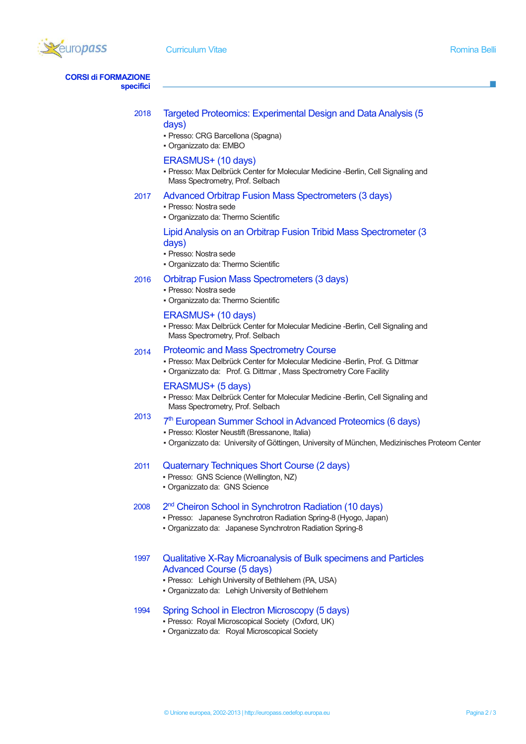

**CORSI di FORMAZIONE specifici** 

| 2018 | Targeted Proteomics: Experimental Design and Data Analysis (5) |
|------|----------------------------------------------------------------|
|      | days)                                                          |

- Presso: CRG Barcellona (Spagna)
- Organizzato da: EMBO

#### ERASMUS+ (10 days)

▪ Presso: Max Delbrück Center for Molecular Medicine -Berlin, Cell Signaling and Mass Spectrometry, Prof. Selbach

#### 2017 Advanced Orbitrap Fusion Mass Spectrometers (3 days)

- Presso: Nostra sede
- Organizzato da: Thermo Scientific

#### Lipid Analysis on an Orbitrap Fusion Tribid Mass Spectrometer (3 days)

- Presso: Nostra sede
- Organizzato da: Thermo Scientific

#### Orbitrap Fusion Mass Spectrometers (3 days)

▪ Presso: Nostra sede

2016

▪ Organizzato da: Thermo Scientific

#### ERASMUS+ (10 days)

▪ Presso: Max Delbrück Center for Molecular Medicine -Berlin, Cell Signaling and Mass Spectrometry, Prof. Selbach

#### 2014 Proteomic and Mass Spectrometry Course

▪ Presso: Max Delbrück Center for Molecular Medicine -Berlin, Prof. G. Dittmar ▪ Organizzato da: Prof. G. Dittmar , Mass Spectrometry Core Facility

#### ERASMUS+ (5 days)

▪ Presso: Max Delbrück Center for Molecular Medicine -Berlin, Cell Signaling and Mass Spectrometry, Prof. Selbach

#### 2013 7<sup>th</sup> European Summer School in Advanced Proteomics (6 days)

- Presso: Kloster Neustift (Bressanone, Italia)
- Organizzato da: University of Göttingen, University of München, Medizinisches Proteom Center

#### 2011 Quaternary Techniques Short Course (2 days)

- Presso: GNS Science (Wellington, NZ)
- Organizzato da: GNS Science

#### 2008 2 2<sup>nd</sup> Cheiron School in Synchrotron Radiation (10 days)

- Presso: Japanese Synchrotron Radiation Spring-8 (Hyogo, Japan)
- Organizzato da: Japanese Synchrotron Radiation Spring-8

### 1997 Qualitative X-Ray Microanalysis of Bulk specimens and Particles Advanced Course (5 days)

- Presso: Lehigh University of Bethlehem (PA, USA)
- Organizzato da: Lehigh University of Bethlehem

### 1994 Spring School in Electron Microscopy (5 days)

- Presso: Royal Microscopical Society (Oxford, UK)
- Organizzato da: Royal Microscopical Society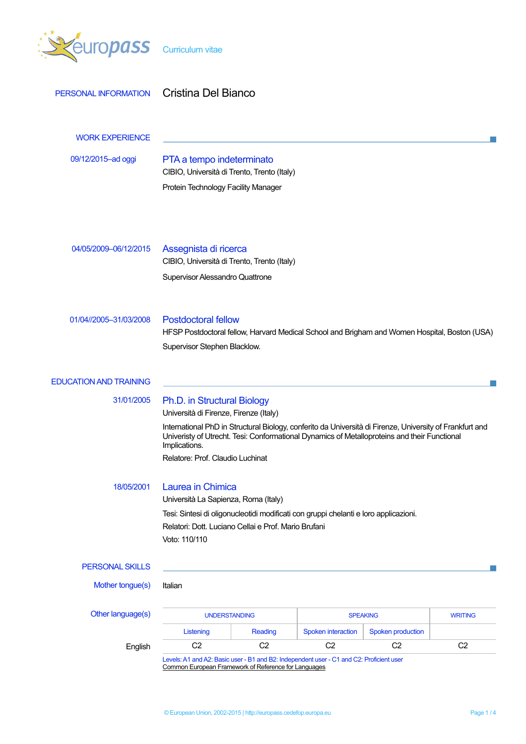

| PERSONAL INFORMATION          | Cristina Del Bianco                                                                                                                                                                                                                                                 |                      |                    |                          |                |
|-------------------------------|---------------------------------------------------------------------------------------------------------------------------------------------------------------------------------------------------------------------------------------------------------------------|----------------------|--------------------|--------------------------|----------------|
| <b>WORK EXPERIENCE</b>        |                                                                                                                                                                                                                                                                     |                      |                    |                          |                |
| 09/12/2015-ad oggi            | PTA a tempo indeterminato<br>CIBIO, Università di Trento, Trento (Italy)                                                                                                                                                                                            |                      |                    |                          |                |
|                               | Protein Technology Facility Manager                                                                                                                                                                                                                                 |                      |                    |                          |                |
| 04/05/2009-06/12/2015         | Assegnista di ricerca<br>CIBIO, Università di Trento, Trento (Italy)                                                                                                                                                                                                |                      |                    |                          |                |
|                               | Supervisor Alessandro Quattrone                                                                                                                                                                                                                                     |                      |                    |                          |                |
| 01/04//2005-31/03/2008        | <b>Postdoctoral fellow</b><br>HFSP Postdoctoral fellow, Harvard Medical School and Brigham and Women Hospital, Boston (USA)<br>Supervisor Stephen Blacklow.                                                                                                         |                      |                    |                          |                |
| <b>EDUCATION AND TRAINING</b> |                                                                                                                                                                                                                                                                     |                      |                    |                          |                |
| 31/01/2005                    | Ph.D. in Structural Biology                                                                                                                                                                                                                                         |                      |                    |                          |                |
|                               | Università di Firenze, Firenze (Italy)<br>International PhD in Structural Biology, conferito da Università di Firenze, University of Frankfurt and<br>Univeristy of Utrecht. Tesi: Conformational Dynamics of Metalloproteins and their Functional<br>Implications. |                      |                    |                          |                |
|                               | Relatore: Prof. Claudio Luchinat                                                                                                                                                                                                                                    |                      |                    |                          |                |
| 18/05/2001                    | Laurea in Chimica<br>Università La Sapienza, Roma (Italy)                                                                                                                                                                                                           |                      |                    |                          |                |
|                               | Tesi: Sintesi di oligonucleotidi modificati con gruppi chelanti e loro applicazioni.<br>Relatori: Dott. Luciano Cellai e Prof. Mario Brufani<br>Voto: 110/110                                                                                                       |                      |                    |                          |                |
| <b>PERSONAL SKILLS</b>        |                                                                                                                                                                                                                                                                     |                      |                    |                          |                |
| Mother tongue(s)              | Italian                                                                                                                                                                                                                                                             |                      |                    |                          |                |
| Other language(s)             |                                                                                                                                                                                                                                                                     | <b>UNDERSTANDING</b> |                    | <b>SPEAKING</b>          | <b>WRITING</b> |
|                               | Listening                                                                                                                                                                                                                                                           | <b>Reading</b>       | Spoken interaction | <b>Spoken production</b> |                |
| English                       | C <sub>2</sub>                                                                                                                                                                                                                                                      | C <sub>2</sub>       | C <sub>2</sub>     | C <sub>2</sub>           | C <sub>2</sub> |

Levels: A1 and A2: Basic user - B1 and B2: Independent user - C1 and C2: Proficient user Common European Framework of Reference for Languages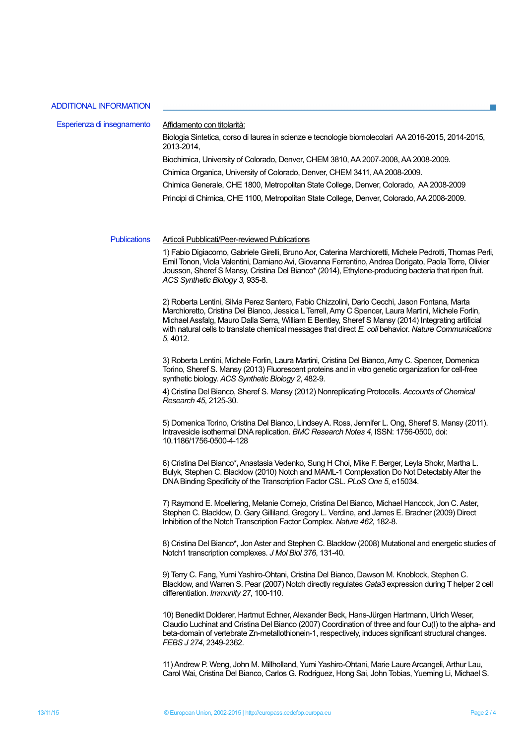#### **ADDITIONAL INFORMATION**

| Esperienza di insegnamento | Affidamento con titolarità:<br>Biologia Sintetica, corso di laurea in scienze e tecnologie biomolecolari AA 2016-2015, 2014-2015,<br>2013-2014.                  |
|----------------------------|------------------------------------------------------------------------------------------------------------------------------------------------------------------|
|                            | Biochimica, University of Colorado, Denver, CHEM 3810, AA 2007-2008, AA 2008-2009.<br>Chimica Organica, University of Colorado, Denver, CHEM 3411, AA 2008-2009. |
|                            | Chimica Generale, CHE 1800, Metropolitan State College, Denver, Colorado, AA 2008-2009                                                                           |
|                            | Principi di Chimica, CHE 1100, Metropolitan State College, Denver, Colorado, AA 2008-2009.                                                                       |
|                            |                                                                                                                                                                  |
| <b>Publications</b>        | Articoli Pubblicati/Peer-reviewed Publications                                                                                                                   |

1) Fabio Digiacomo, Gabriele Girelli, Bruno Aor, Caterina Marchioretti, Michele Pedrotti, Thomas Perli, Emil Tonon, Viola Valentini, Damiano Avi, Giovanna Ferrentino, Andrea Dorigato, Paola Torre, Olivier Jousson, Sheref S Mansy, Cristina Del Bianco\* (2014), Ethylene-producing bacteria that ripen fruit. ACS Synthetic Biology 3, 935-8.

2) Roberta Lentini, Silvia Perez Santero, Fabio Chizzolini, Dario Cecchi, Jason Fontana, Marta Marchioretto, Cristina Del Bianco, Jessica L Terrell, Amy C Spencer, Laura Martini, Michele Forlin, Michael Assfalg, Mauro Dalla Serra, William E Bentley, Sheref S Mansy (2014) Integrating artificial with natural cells to translate chemical messages that direct E. coli behavior. Nature Communications 5, 4012.

3) Roberta Lentini, Michele Forlin, Laura Martini, Cristina Del Bianco, Amy C. Spencer, Domenica Torino, Sheref S. Mansy (2013) Fluorescent proteins and in vitro genetic organization for cell-free synthetic biology. ACS Synthetic Biology 2, 482-9.

4) Cristina Del Bianco, Sheref S. Mansy (2012) Nonreplicating Protocells. Accounts of Chemical Research 45, 2125-30.

5) Domenica Torino, Cristina Del Bianco, Lindsey A. Ross, Jennifer L. Ong, Sheref S. Mansy (2011). Intravesicle isothermal DNA replication, BMC Research Notes 4, ISSN: 1756-0500, doi: 10.1186/1756-0500-4-128

6) Cristina Del Bianco\*, Anastasia Vedenko, Sung H Choi, Mike F. Berger, Leyla Shokr, Martha L. Bulyk, Stephen C. Blacklow (2010) Notch and MAML-1 Complexation Do Not Detectably Alter the DNA Binding Specificity of the Transcription Factor CSL. PLoS One 5, e15034.

7) Raymond E. Moellering, Melanie Cornejo, Cristina Del Bianco, Michael Hancock, Jon C. Aster, Stephen C. Blacklow, D. Gary Gilliland, Gregory L. Verdine, and James E. Bradner (2009) Direct Inhibition of the Notch Transcription Factor Complex. Nature 462, 182-8.

8) Cristina Del Bianco\*, Jon Aster and Stephen C. Blacklow (2008) Mutational and energetic studies of Notch1 transcription complexes. J Mol Biol 376, 131-40.

9) Terry C. Fang, Yumi Yashiro-Ohtani, Cristina Del Bianco, Dawson M. Knoblock, Stephen C. Blacklow, and Warren S. Pear (2007) Notch directly regulates Gata3 expression during T helper 2 cell differentiation. Immunity 27, 100-110.

10) Benedikt Dolderer, Hartmut Echner, Alexander Beck, Hans-Jürgen Hartmann, Ulrich Weser, Claudio Luchinat and Cristina Del Bianco (2007) Coordination of three and four Cu(I) to the alpha- and beta-domain of vertebrate Zn-metallothionein-1, respectively, induces significant structural changes. FEBS J 274, 2349-2362.

11) Andrew P. Weng, John M. Millholland, Yumi Yashiro-Ohtani, Marie Laure Arcangeli, Arthur Lau, Carol Wai, Cristina Del Bianco, Carlos G. Rodriguez, Hong Sai, John Tobias, Yueming Li, Michael S.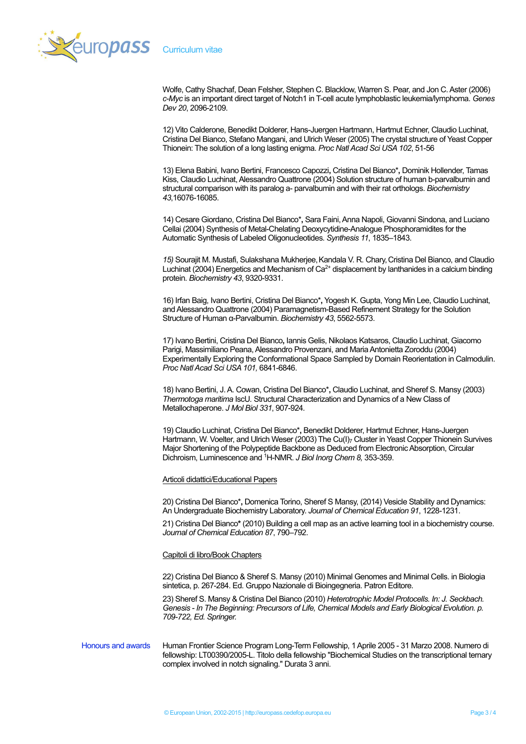

Wolfe, Cathy Shachaf, Dean Felsher, Stephen C, Blacklow, Warren S, Pear, and Jon C, Aster (2006) c-Myc is an important direct target of Notch1 in T-cell acute lymphoblastic leukemia/lymphoma. Genes Dev 20, 2096-2109.

12) Vito Calderone, Benedikt Dolderer, Hans-Juergen Hartmann, Hartmut Echner, Claudio Luchinat, Cristina Del Bianco, Stefano Mangani, and Ulrich Weser (2005) The crystal structure of Yeast Copper Thionein: The solution of a long lasting enigma. Proc Natl Acad Sci USA 102, 51-56

13) Elena Babini, Ivano Bertini, Francesco Capozzi, Cristina Del Bianco\*, Dominik Hollender, Tamas Kiss, Claudio Luchinat, Alessandro Quattrone (2004) Solution structure of human b-parvalbumin and structural comparison with its paralog a- parvalbumin and with their rat orthologs. Biochemistry 43,16076-16085.

14) Cesare Giordano, Cristina Del Bianco\*, Sara Faini, Anna Napoli, Giovanni Sindona, and Luciano Cellai (2004) Synthesis of Metal-Chelating Deoxycytidine-Analogue Phosphoramidites for the Automatic Synthesis of Labeled Oligonucleotides. Synthesis 11, 1835-1843.

15) Sourajit M. Mustafi, Sulakshana Mukherjee, Kandala V. R. Chary, Cristina Del Bianco, and Claudio Luchinat (2004) Energetics and Mechanism of Ca<sup>2+</sup> displacement by lanthanides in a calcium binding protein. Biochemistry 43, 9320-9331.

16) Irfan Baig, Ivano Bertini, Cristina Del Bianco\*, Yogesh K. Gupta, Yong Min Lee, Claudio Luchinat, and Alessandro Quattrone (2004) Paramagnetism-Based Refinement Strategy for the Solution Structure of Human α-Parvalbumin. Biochemistry 43, 5562-5573.

17) Ivano Bertini, Cristina Del Bianco, Iannis Gelis, Nikolaos Katsaros, Claudio Luchinat, Giacomo Parigi, Massimiliano Peana, Alessandro Provenzani, and Maria Antonietta Zoroddu (2004) Experimentally Exploring the Conformational Space Sampled by Domain Reorientation in Calmodulin. Proc Natl Acad Sci USA 101, 6841-6846.

18) Ivano Bertini, J. A. Cowan, Cristina Del Bianco\*, Claudio Luchinat, and Sheref S. Mansy (2003) Thermotoga maritima IscU. Structural Characterization and Dynamics of a New Class of Metallochaperone. J Mol Biol 331, 907-924.

19) Claudio Luchinat, Cristina Del Bianco\*, Benedikt Dolderer, Hartmut Echner, Hans-Juergen Hartmann, W. Voelter, and Ulrich Weser (2003) The Cu(I)<sub>7</sub> Cluster in Yeast Copper Thionein Survives Major Shortening of the Polypeptide Backbone as Deduced from Electronic Absorption, Circular Dichroism, Luminescence and <sup>1</sup>H-NMR. J Biol Inorg Chem 8, 353-359.

#### Articoli didattici/Educational Papers

20) Cristina Del Bianco\*, Domenica Torino, Sheref S Mansy, (2014) Vesicle Stability and Dynamics: An Undergraduate Biochemistry Laboratory. Journal of Chemical Education 91, 1228-1231.

21) Cristina Del Bianco\* (2010) Building a cell map as an active learning tool in a biochemistry course. Journal of Chemical Education 87, 790-792.

#### Capitoli di libro/Book Chapters

22) Cristina Del Bianco & Sheref S. Mansy (2010) Minimal Genomes and Minimal Cells. in Biologia sintetica, p. 267-284. Ed. Gruppo Nazionale di Bioingegneria. Patron Editore.

23) Sheref S. Mansy & Cristina Del Bianco (2010) Heterotrophic Model Protocells. In: J. Seckbach. Genesis - In The Beginning: Precursors of Life, Chemical Models and Early Biological Evolution, p. 709-722, Ed. Springer.

**Honours and awards** Human Frontier Science Program Long-Term Fellowship, 1 Aprile 2005 - 31 Marzo 2008. Numero di fellowship: LT00390/2005-L. Titolo della fellowship "Biochemical Studies on the transcriptional temary complex involved in notch signaling." Durata 3 anni.